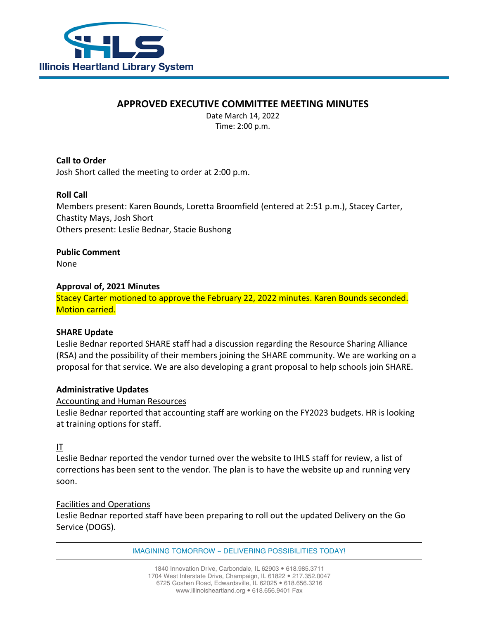

# **APPROVED EXECUTIVE COMMITTEE MEETING MINUTES**

Date March 14, 2022 Time: 2:00 p.m.

**Call to Order** Josh Short called the meeting to order at 2:00 p.m.

## **Roll Call**

Members present: Karen Bounds, Loretta Broomfield (entered at 2:51 p.m.), Stacey Carter, Chastity Mays, Josh Short Others present: Leslie Bednar, Stacie Bushong

**Public Comment** None

## **Approval of, 2021 Minutes**

Stacey Carter motioned to approve the February 22, 2022 minutes. Karen Bounds seconded. Motion carried.

## **SHARE Update**

Leslie Bednar reported SHARE staff had a discussion regarding the Resource Sharing Alliance (RSA) and the possibility of their members joining the SHARE community. We are working on a proposal for that service. We are also developing a grant proposal to help schools join SHARE.

## **Administrative Updates**

## Accounting and Human Resources

Leslie Bednar reported that accounting staff are working on the FY2023 budgets. HR is looking at training options for staff.

IT

Leslie Bednar reported the vendor turned over the website to IHLS staff for review, a list of corrections has been sent to the vendor. The plan is to have the website up and running very soon.

## Facilities and Operations

Leslie Bednar reported staff have been preparing to roll out the updated Delivery on the Go Service (DOGS).

IMAGINING TOMORROW ~ DELIVERING POSSIBILITIES TODAY!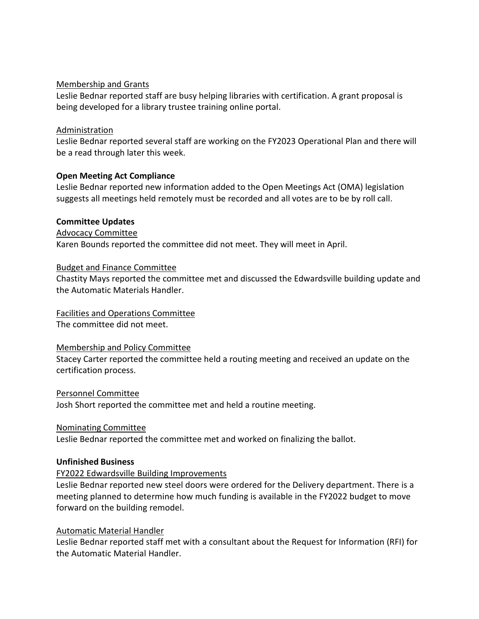## Membership and Grants

Leslie Bednar reported staff are busy helping libraries with certification. A grant proposal is being developed for a library trustee training online portal.

#### Administration

Leslie Bednar reported several staff are working on the FY2023 Operational Plan and there will be a read through later this week.

## **Open Meeting Act Compliance**

Leslie Bednar reported new information added to the Open Meetings Act (OMA) legislation suggests all meetings held remotely must be recorded and all votes are to be by roll call.

#### **Committee Updates**

Advocacy Committee

Karen Bounds reported the committee did not meet. They will meet in April.

#### Budget and Finance Committee

Chastity Mays reported the committee met and discussed the Edwardsville building update and the Automatic Materials Handler.

### Facilities and Operations Committee

The committee did not meet.

#### Membership and Policy Committee

Stacey Carter reported the committee held a routing meeting and received an update on the certification process.

#### Personnel Committee

Josh Short reported the committee met and held a routine meeting.

#### Nominating Committee

Leslie Bednar reported the committee met and worked on finalizing the ballot.

#### **Unfinished Business**

## FY2022 Edwardsville Building Improvements

Leslie Bednar reported new steel doors were ordered for the Delivery department. There is a meeting planned to determine how much funding is available in the FY2022 budget to move forward on the building remodel.

## Automatic Material Handler

Leslie Bednar reported staff met with a consultant about the Request for Information (RFI) for the Automatic Material Handler.